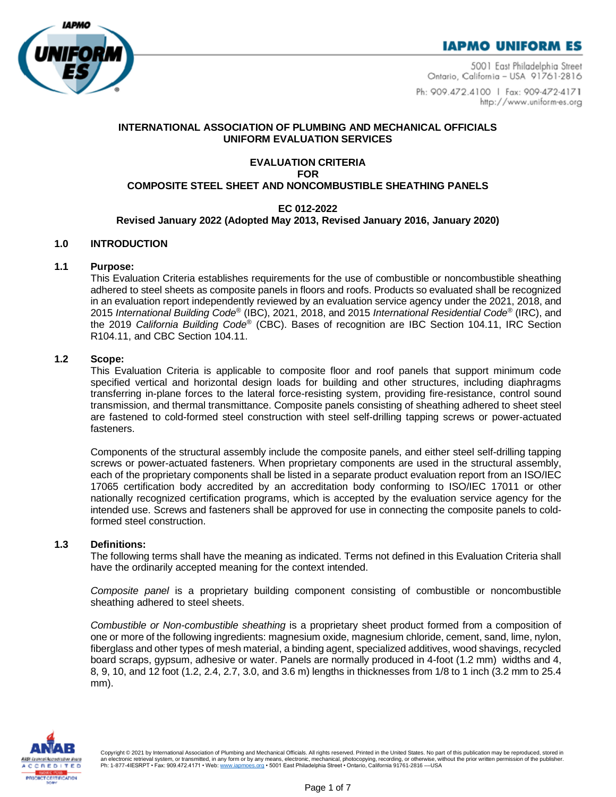



5001 East Philadelphia Street Ontario, California - USA 91761-2816

Ph: 909.472.4100 | Fax: 909-472-4171 http://www.uniform-es.org

### **INTERNATIONAL ASSOCIATION OF PLUMBING AND MECHANICAL OFFICIALS UNIFORM EVALUATION SERVICES**

### **EVALUATION CRITERIA FOR COMPOSITE STEEL SHEET AND NONCOMBUSTIBLE SHEATHING PANELS**

# **EC 012-2022**

#### **Revised January 2022 (Adopted May 2013, Revised January 2016, January 2020)**

### **1.0 INTRODUCTION**

### **1.1 Purpose:**

This Evaluation Criteria establishes requirements for the use of combustible or noncombustible sheathing adhered to steel sheets as composite panels in floors and roofs. Products so evaluated shall be recognized in an evaluation report independently reviewed by an evaluation service agency under the 2021, 2018, and 2015 *International Building Code®* (IBC), 2021, 2018, and 2015 *International Residential Code®* (IRC), and the 2019 *California Building Code®* (CBC). Bases of recognition are IBC Section 104.11, IRC Section R104.11, and CBC Section 104.11.

### **1.2 Scope:**

This Evaluation Criteria is applicable to composite floor and roof panels that support minimum code specified vertical and horizontal design loads for building and other structures, including diaphragms transferring in-plane forces to the lateral force-resisting system, providing fire-resistance, control sound transmission, and thermal transmittance. Composite panels consisting of sheathing adhered to sheet steel are fastened to cold-formed steel construction with steel self-drilling tapping screws or power-actuated fasteners.

Components of the structural assembly include the composite panels, and either steel self-drilling tapping screws or power-actuated fasteners. When proprietary components are used in the structural assembly, each of the proprietary components shall be listed in a separate product evaluation report from an ISO/IEC 17065 certification body accredited by an accreditation body conforming to ISO/IEC 17011 or other nationally recognized certification programs, which is accepted by the evaluation service agency for the intended use. Screws and fasteners shall be approved for use in connecting the composite panels to coldformed steel construction.

#### **1.3 Definitions:**

The following terms shall have the meaning as indicated. Terms not defined in this Evaluation Criteria shall have the ordinarily accepted meaning for the context intended.

*Composite panel* is a proprietary building component consisting of combustible or noncombustible sheathing adhered to steel sheets.

*Combustible or Non-combustible sheathing* is a proprietary sheet product formed from a composition of one or more of the following ingredients: magnesium oxide, magnesium chloride, cement, sand, lime, nylon, fiberglass and other types of mesh material, a binding agent, specialized additives, wood shavings, recycled board scraps, gypsum, adhesive or water. Panels are normally produced in 4-foot (1.2 mm) widths and 4, 8, 9, 10, and 12 foot (1.2, 2.4, 2.7, 3.0, and 3.6 m) lengths in thicknesses from 1/8 to 1 inch (3.2 mm to 25.4 mm).



Copyright © 2021 by International Association of Plumbing and Mechanical Officials. All rights reserved. Printed in the United States. No part of this publication may be reproduced, stored in an electronic retrieval system, or transmitted, in any form or by any means, electronic, mechanical, photocopying, recording, or otherwise, without the prior written permission of the publisher.<br>Ph: 1-877-4IESRPT • Fax: 9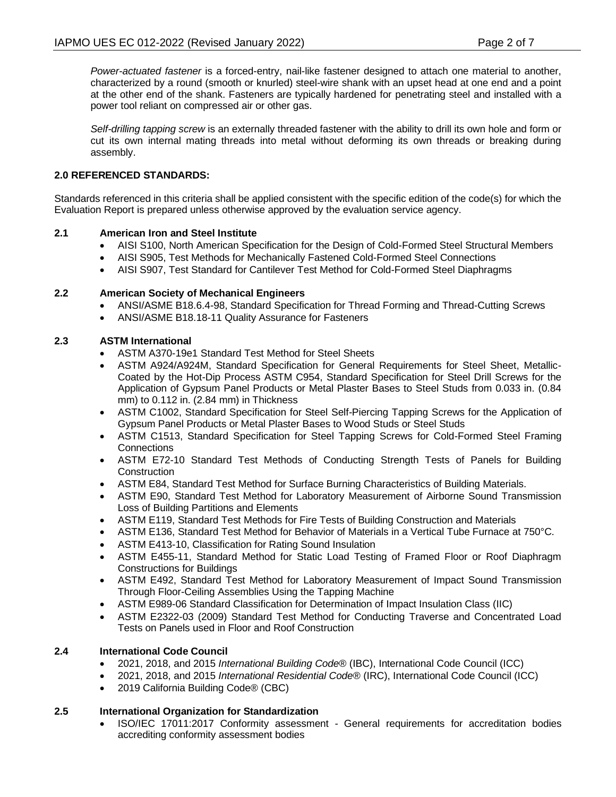*Power-actuated fastener* is a forced-entry, nail-like fastener designed to attach one material to another, characterized by a round (smooth or knurled) steel-wire shank with an upset head at one end and a point at the other end of the shank. Fasteners are typically hardened for penetrating steel and installed with a power tool reliant on compressed air or other gas.

*Self-drilling tapping screw* is an externally threaded fastener with the ability to drill its own hole and form or cut its own internal mating threads into metal without deforming its own threads or breaking during assembly.

## **2.0 REFERENCED STANDARDS:**

Standards referenced in this criteria shall be applied consistent with the specific edition of the code(s) for which the Evaluation Report is prepared unless otherwise approved by the evaluation service agency.

# **2.1 American Iron and Steel Institute**

- AISI S100, North American Specification for the Design of Cold-Formed Steel Structural Members
- AISI S905, Test Methods for Mechanically Fastened Cold-Formed Steel Connections
- AISI S907, Test Standard for Cantilever Test Method for Cold-Formed Steel Diaphragms

# **2.2 American Society of Mechanical Engineers**

- ANSI/ASME B18.6.4-98, Standard Specification for Thread Forming and Thread-Cutting Screws
- ANSI/ASME B18.18-11 Quality Assurance for Fasteners

# **2.3 ASTM International**

- ASTM A370-19e1 Standard Test Method for Steel Sheets
- ASTM A924/A924M, Standard Specification for General Requirements for Steel Sheet, Metallic-Coated by the Hot-Dip Process ASTM C954, Standard Specification for Steel Drill Screws for the Application of Gypsum Panel Products or Metal Plaster Bases to Steel Studs from 0.033 in. (0.84 mm) to 0.112 in. (2.84 mm) in Thickness
- ASTM C1002, Standard Specification for Steel Self-Piercing Tapping Screws for the Application of Gypsum Panel Products or Metal Plaster Bases to Wood Studs or Steel Studs
- ASTM C1513, Standard Specification for Steel Tapping Screws for Cold-Formed Steel Framing **Connections**
- ASTM E72-10 Standard Test Methods of Conducting Strength Tests of Panels for Building **Construction**
- ASTM E84, Standard Test Method for Surface Burning Characteristics of Building Materials.
- ASTM E90, Standard Test Method for Laboratory Measurement of Airborne Sound Transmission Loss of Building Partitions and Elements
- ASTM E119, Standard Test Methods for Fire Tests of Building Construction and Materials
- ASTM E136, Standard Test Method for Behavior of Materials in a Vertical Tube Furnace at 750°C.
- ASTM E413-10, Classification for Rating Sound Insulation
- ASTM E455-11, Standard Method for Static Load Testing of Framed Floor or Roof Diaphragm Constructions for Buildings
- ASTM E492, Standard Test Method for Laboratory Measurement of Impact Sound Transmission Through Floor-Ceiling Assemblies Using the Tapping Machine
- ASTM E989-06 Standard Classification for Determination of Impact Insulation Class (IIC)
- ASTM E2322-03 (2009) Standard Test Method for Conducting Traverse and Concentrated Load Tests on Panels used in Floor and Roof Construction

## **2.4 International Code Council**

- 2021, 2018, and 2015 *International Building Code*® (IBC), International Code Council (ICC)
- 2021, 2018, and 2015 *International Residential Code*® (IRC), International Code Council (ICC)
- 2019 California Building Code® (CBC)

# **2.5 International Organization for Standardization**

• ISO/IEC 17011:2017 Conformity assessment - General requirements for accreditation bodies accrediting conformity assessment bodies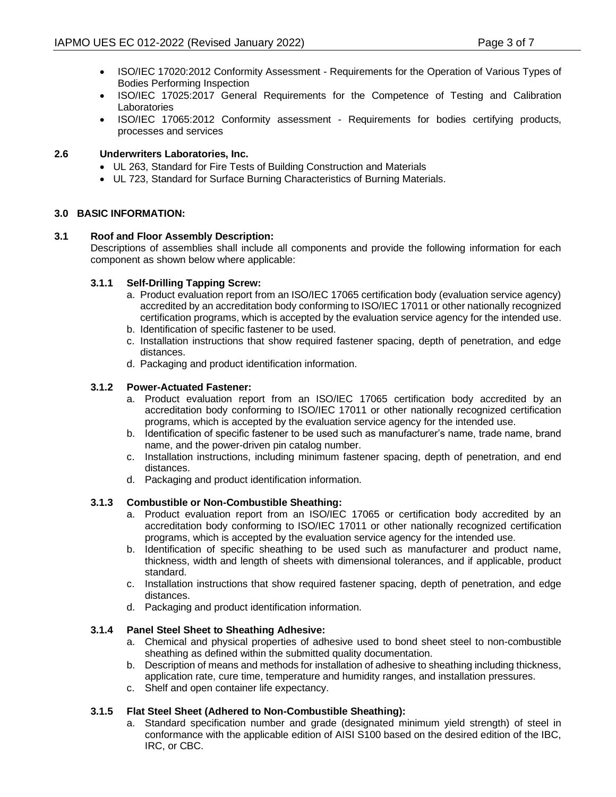- ISO/IEC 17020:2012 Conformity Assessment Requirements for the Operation of Various Types of Bodies Performing Inspection
- ISO/IEC 17025:2017 General Requirements for the Competence of Testing and Calibration Laboratories
- ISO/IEC 17065:2012 Conformity assessment Requirements for bodies certifying products, processes and services

### **2.6 Underwriters Laboratories, Inc.**

- UL 263, Standard for Fire Tests of Building Construction and Materials
- UL 723, Standard for Surface Burning Characteristics of Burning Materials.

#### **3.0 BASIC INFORMATION:**

### **3.1 Roof and Floor Assembly Description:**

Descriptions of assemblies shall include all components and provide the following information for each component as shown below where applicable:

### **3.1.1 Self-Drilling Tapping Screw:**

- a. Product evaluation report from an ISO/IEC 17065 certification body (evaluation service agency) accredited by an accreditation body conforming to ISO/IEC 17011 or other nationally recognized certification programs, which is accepted by the evaluation service agency for the intended use.
- b. Identification of specific fastener to be used.
- c. Installation instructions that show required fastener spacing, depth of penetration, and edge distances.
- d. Packaging and product identification information.

### **3.1.2 Power-Actuated Fastener:**

- a. Product evaluation report from an ISO/IEC 17065 certification body accredited by an accreditation body conforming to ISO/IEC 17011 or other nationally recognized certification programs, which is accepted by the evaluation service agency for the intended use.
- b. Identification of specific fastener to be used such as manufacturer's name, trade name, brand name, and the power-driven pin catalog number.
- c. Installation instructions, including minimum fastener spacing, depth of penetration, and end distances.
- d. Packaging and product identification information.

## **3.1.3 Combustible or Non-Combustible Sheathing:**

- a. Product evaluation report from an ISO/IEC 17065 or certification body accredited by an accreditation body conforming to ISO/IEC 17011 or other nationally recognized certification programs, which is accepted by the evaluation service agency for the intended use.
- b. Identification of specific sheathing to be used such as manufacturer and product name, thickness, width and length of sheets with dimensional tolerances, and if applicable, product standard.
- c. Installation instructions that show required fastener spacing, depth of penetration, and edge distances.
- d. Packaging and product identification information.

#### **3.1.4 Panel Steel Sheet to Sheathing Adhesive:**

- a. Chemical and physical properties of adhesive used to bond sheet steel to non-combustible sheathing as defined within the submitted quality documentation.
- b. Description of means and methods for installation of adhesive to sheathing including thickness, application rate, cure time, temperature and humidity ranges, and installation pressures.
- c. Shelf and open container life expectancy.

## **3.1.5 Flat Steel Sheet (Adhered to Non-Combustible Sheathing):**

a. Standard specification number and grade (designated minimum yield strength) of steel in conformance with the applicable edition of AISI S100 based on the desired edition of the IBC, IRC, or CBC.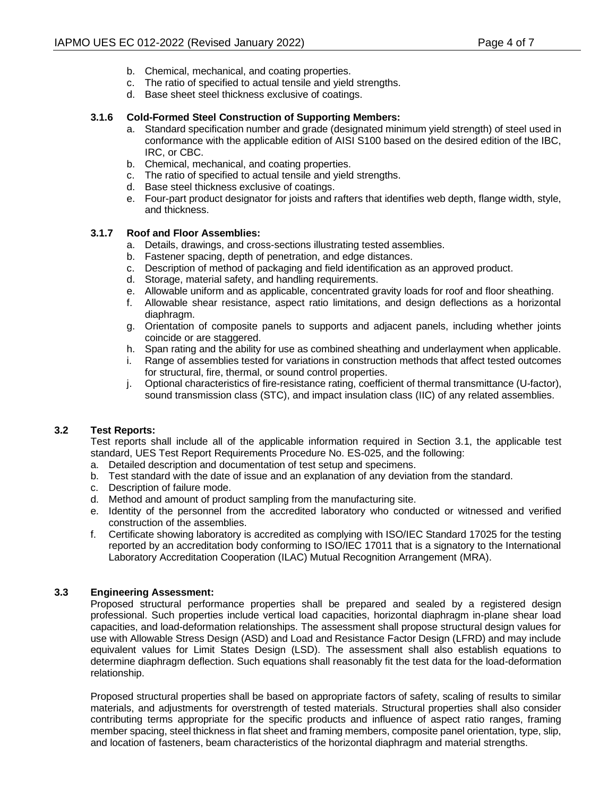- b. Chemical, mechanical, and coating properties.
- c. The ratio of specified to actual tensile and yield strengths.
- d. Base sheet steel thickness exclusive of coatings.

### **3.1.6 Cold-Formed Steel Construction of Supporting Members:**

- a. Standard specification number and grade (designated minimum yield strength) of steel used in conformance with the applicable edition of AISI S100 based on the desired edition of the IBC, IRC, or CBC.
- b. Chemical, mechanical, and coating properties.
- c. The ratio of specified to actual tensile and yield strengths.
- d. Base steel thickness exclusive of coatings.
- e. Four-part product designator for joists and rafters that identifies web depth, flange width, style, and thickness.

### **3.1.7 Roof and Floor Assemblies:**

- a. Details, drawings, and cross-sections illustrating tested assemblies.
- b. Fastener spacing, depth of penetration, and edge distances.
- c. Description of method of packaging and field identification as an approved product.
- d. Storage, material safety, and handling requirements.
- e. Allowable uniform and as applicable, concentrated gravity loads for roof and floor sheathing.
- f. Allowable shear resistance, aspect ratio limitations, and design deflections as a horizontal diaphragm.
- g. Orientation of composite panels to supports and adjacent panels, including whether joints coincide or are staggered.
- h. Span rating and the ability for use as combined sheathing and underlayment when applicable.<br>i. Range of assemblies tested for variations in construction methods that affect tested outcomes
- Range of assemblies tested for variations in construction methods that affect tested outcomes for structural, fire, thermal, or sound control properties.
- j. Optional characteristics of fire-resistance rating, coefficient of thermal transmittance (U-factor), sound transmission class (STC), and impact insulation class (IIC) of any related assemblies.

## **3.2 Test Reports:**

Test reports shall include all of the applicable information required in Section 3.1, the applicable test standard, UES Test Report Requirements Procedure No. ES-025, and the following:

- a. Detailed description and documentation of test setup and specimens.
- b. Test standard with the date of issue and an explanation of any deviation from the standard.
- c. Description of failure mode.
- d. Method and amount of product sampling from the manufacturing site.
- e. Identity of the personnel from the accredited laboratory who conducted or witnessed and verified construction of the assemblies.
- f. Certificate showing laboratory is accredited as complying with ISO/IEC Standard 17025 for the testing reported by an accreditation body conforming to ISO/IEC 17011 that is a signatory to the International Laboratory Accreditation Cooperation (ILAC) Mutual Recognition Arrangement (MRA).

## **3.3 Engineering Assessment:**

Proposed structural performance properties shall be prepared and sealed by a registered design professional. Such properties include vertical load capacities, horizontal diaphragm in-plane shear load capacities, and load-deformation relationships. The assessment shall propose structural design values for use with Allowable Stress Design (ASD) and Load and Resistance Factor Design (LFRD) and may include equivalent values for Limit States Design (LSD). The assessment shall also establish equations to determine diaphragm deflection. Such equations shall reasonably fit the test data for the load-deformation relationship.

Proposed structural properties shall be based on appropriate factors of safety, scaling of results to similar materials, and adjustments for overstrength of tested materials. Structural properties shall also consider contributing terms appropriate for the specific products and influence of aspect ratio ranges, framing member spacing, steel thickness in flat sheet and framing members, composite panel orientation, type, slip, and location of fasteners, beam characteristics of the horizontal diaphragm and material strengths.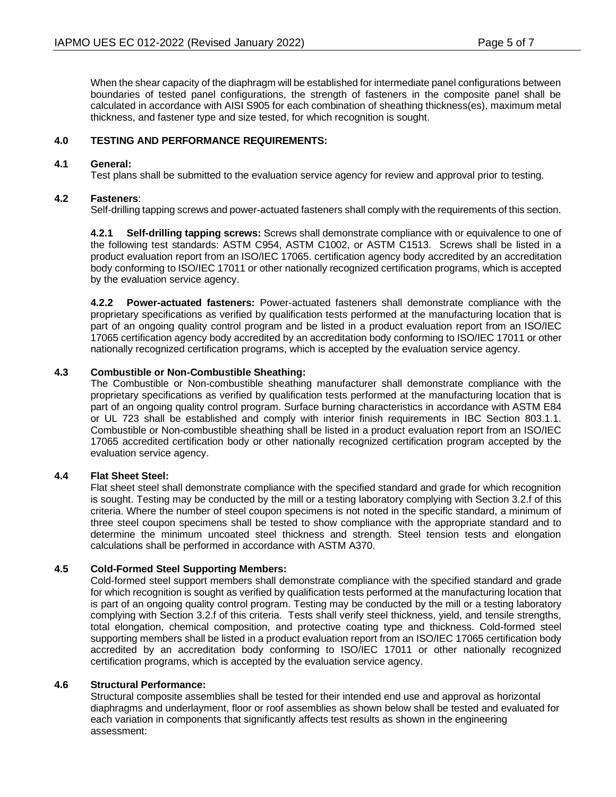When the shear capacity of the diaphragm will be established for intermediate panel configurations between boundaries of tested panel configurations, the strength of fasteners in the composite panel shall be calculated in accordance with AISI S905 for each combination of sheathing thickness(es), maximum metal thickness, and fastener type and size tested, for which recognition is sought.

### **4.0 TESTING AND PERFORMANCE REQUIREMENTS:**

#### **4.1 General:**

Test plans shall be submitted to the evaluation service agency for review and approval prior to testing.

## **4.2 Fasteners**:

Self-drilling tapping screws and power-actuated fasteners shall comply with the requirements of this section.

**4.2.1 Self-drilling tapping screws:** Screws shall demonstrate compliance with or equivalence to one of the following test standards: ASTM C954, ASTM C1002, or ASTM C1513. Screws shall be listed in a product evaluation report from an ISO/IEC 17065. certification agency body accredited by an accreditation body conforming to ISO/IEC 17011 or other nationally recognized certification programs, which is accepted by the evaluation service agency.

**4.2.2 Power-actuated fasteners:** Power-actuated fasteners shall demonstrate compliance with the proprietary specifications as verified by qualification tests performed at the manufacturing location that is part of an ongoing quality control program and be listed in a product evaluation report from an ISO/IEC 17065 certification agency body accredited by an accreditation body conforming to ISO/IEC 17011 or other nationally recognized certification programs, which is accepted by the evaluation service agency.

#### **4.3 Combustible or Non-Combustible Sheathing:**

The Combustible or Non-combustible sheathing manufacturer shall demonstrate compliance with the proprietary specifications as verified by qualification tests performed at the manufacturing location that is part of an ongoing quality control program. Surface burning characteristics in accordance with ASTM E84 or UL 723 shall be established and comply with interior finish requirements in IBC Section 803.1.1. Combustible or Non-combustible sheathing shall be listed in a product evaluation report from an ISO/IEC 17065 accredited certification body or other nationally recognized certification program accepted by the evaluation service agency.

#### **4.4 Flat Sheet Steel:**

Flat sheet steel shall demonstrate compliance with the specified standard and grade for which recognition is sought. Testing may be conducted by the mill or a testing laboratory complying with Section 3.2.f of this criteria. Where the number of steel coupon specimens is not noted in the specific standard, a minimum of three steel coupon specimens shall be tested to show compliance with the appropriate standard and to determine the minimum uncoated steel thickness and strength. Steel tension tests and elongation calculations shall be performed in accordance with ASTM A370.

#### **4.5 Cold-Formed Steel Supporting Members:**

Cold-formed steel support members shall demonstrate compliance with the specified standard and grade for which recognition is sought as verified by qualification tests performed at the manufacturing location that is part of an ongoing quality control program. Testing may be conducted by the mill or a testing laboratory complying with Section 3.2.f of this criteria. Tests shall verify steel thickness, yield, and tensile strengths, total elongation, chemical composition, and protective coating type and thickness. Cold-formed steel supporting members shall be listed in a product evaluation report from an ISO/IEC 17065 certification body accredited by an accreditation body conforming to ISO/IEC 17011 or other nationally recognized certification programs, which is accepted by the evaluation service agency.

#### **4.6 Structural Performance:**

Structural composite assemblies shall be tested for their intended end use and approval as horizontal diaphragms and underlayment, floor or roof assemblies as shown below shall be tested and evaluated for each variation in components that significantly affects test results as shown in the engineering assessment: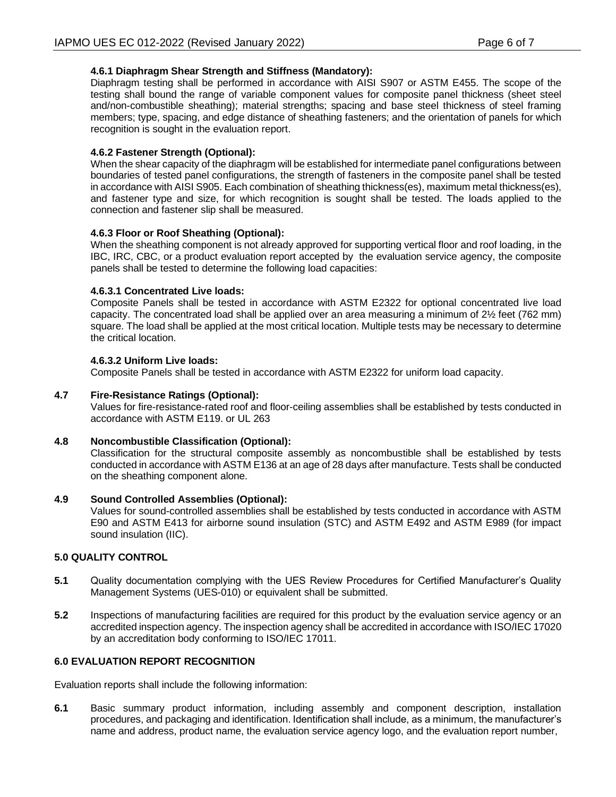# **4.6.1 Diaphragm Shear Strength and Stiffness (Mandatory):**

Diaphragm testing shall be performed in accordance with AISI S907 or ASTM E455. The scope of the testing shall bound the range of variable component values for composite panel thickness (sheet steel and/non-combustible sheathing); material strengths; spacing and base steel thickness of steel framing members; type, spacing, and edge distance of sheathing fasteners; and the orientation of panels for which recognition is sought in the evaluation report.

# **4.6.2 Fastener Strength (Optional):**

When the shear capacity of the diaphragm will be established for intermediate panel configurations between boundaries of tested panel configurations, the strength of fasteners in the composite panel shall be tested in accordance with AISI S905. Each combination of sheathing thickness(es), maximum metal thickness(es), and fastener type and size, for which recognition is sought shall be tested. The loads applied to the connection and fastener slip shall be measured.

## **4.6.3 Floor or Roof Sheathing (Optional):**

When the sheathing component is not already approved for supporting vertical floor and roof loading, in the IBC, IRC, CBC, or a product evaluation report accepted by the evaluation service agency, the composite panels shall be tested to determine the following load capacities:

## **4.6.3.1 Concentrated Live loads:**

Composite Panels shall be tested in accordance with ASTM E2322 for optional concentrated live load capacity. The concentrated load shall be applied over an area measuring a minimum of 2½ feet (762 mm) square. The load shall be applied at the most critical location. Multiple tests may be necessary to determine the critical location.

# **4.6.3.2 Uniform Live loads:**

Composite Panels shall be tested in accordance with ASTM E2322 for uniform load capacity.

# **4.7 Fire-Resistance Ratings (Optional):**

Values for fire-resistance-rated roof and floor-ceiling assemblies shall be established by tests conducted in accordance with ASTM E119. or UL 263

## **4.8 Noncombustible Classification (Optional):**

Classification for the structural composite assembly as noncombustible shall be established by tests conducted in accordance with ASTM E136 at an age of 28 days after manufacture. Tests shall be conducted on the sheathing component alone.

## **4.9 Sound Controlled Assemblies (Optional):**

Values for sound-controlled assemblies shall be established by tests conducted in accordance with ASTM E90 and ASTM E413 for airborne sound insulation (STC) and ASTM E492 and ASTM E989 (for impact sound insulation (IIC).

## **5.0 QUALITY CONTROL**

- **5.1** Quality documentation complying with the UES Review Procedures for Certified Manufacturer's Quality Management Systems (UES-010) or equivalent shall be submitted.
- **5.2** Inspections of manufacturing facilities are required for this product by the evaluation service agency or an accredited inspection agency. The inspection agency shall be accredited in accordance with ISO/IEC 17020 by an accreditation body conforming to ISO/IEC 17011.

## **6.0 EVALUATION REPORT RECOGNITION**

Evaluation reports shall include the following information:

**6.1** Basic summary product information, including assembly and component description, installation procedures, and packaging and identification. Identification shall include, as a minimum, the manufacturer's name and address, product name, the evaluation service agency logo, and the evaluation report number,